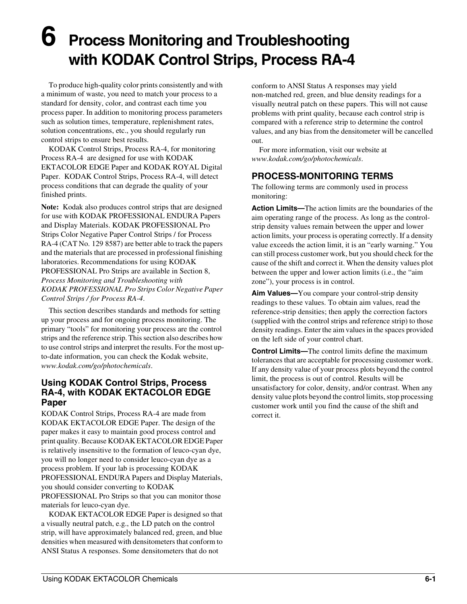# **6 Process Monitoring and Troubleshooting with KODAK Control Strips, Process RA-4**

To produce high-quality color prints consistently and with a minimum of waste, you need to match your process to a standard for density, color, and contrast each time you process paper. In addition to monitoring process parameters such as solution times, temperature, replenishment rates, solution concentrations, etc., you should regularly run control strips to ensure best results.

KODAK Control Strips, Process RA-4, for monitoring Process RA-4 are designed for use with KODAK EKTACOLOR EDGE Paper and KODAK ROYAL Digital Paper. KODAK Control Strips, Process RA-4, will detect process conditions that can degrade the quality of your finished prints.

**Note:** Kodak also produces control strips that are designed for use with KODAK PROFESSIONAL ENDURA Papers and Display Materials. KODAK PROFESSIONAL Pro Strips Color Negative Paper Control Strips / for Process RA-4 (CAT No. 129 8587) are better able to track the papers and the materials that are processed in professional finishing laboratories. Recommendations for using KODAK PROFESSIONAL Pro Strips are available in Section 8, *Process Monitoring and Troubleshooting with KODAK PROFESSIONAL Pro Strips Color Negative Paper Control Strips / for Process RA-4*.

This section describes standards and methods for setting up your process and for ongoing process monitoring. The primary "tools" for monitoring your process are the control strips and the reference strip. This section also describes how to use control strips and interpret the results. For the most upto-date information, you can check the Kodak website, *www.kodak.com/go/photochemicals*.

# **Using KODAK Control Strips, Process RA-4, with KODAK EKTACOLOR EDGE Paper**

KODAK Control Strips, Process RA-4 are made from KODAK EKTACOLOR EDGE Paper. The design of the paper makes it easy to maintain good process control and print quality. Because KODAK EKTACOLOR EDGE Paper is relatively insensitive to the formation of leuco-cyan dye, you will no longer need to consider leuco-cyan dye as a process problem. If your lab is processing KODAK PROFESSIONAL ENDURA Papers and Display Materials, you should consider converting to KODAK PROFESSIONAL Pro Strips so that you can monitor those materials for leuco-cyan dye.

KODAK EKTACOLOR EDGE Paper is designed so that a visually neutral patch, e.g., the LD patch on the control strip, will have approximately balanced red, green, and blue densities when measured with densitometers that conform to ANSI Status A responses. Some densitometers that do not

conform to ANSI Status A responses may yield non-matched red, green, and blue density readings for a visually neutral patch on these papers. This will not cause problems with print quality, because each control strip is compared with a reference strip to determine the control values, and any bias from the densitometer will be cancelled out.

For more information, visit our website at *www.kodak.com/go/photochemicals*.

# **PROCESS-MONITORING TERMS**

The following terms are commonly used in process monitoring:

**Action Limits—**The action limits are the boundaries of the aim operating range of the process. As long as the controlstrip density values remain between the upper and lower action limits, your process is operating correctly. If a density value exceeds the action limit, it is an "early warning." You can still process customer work, but you should check for the cause of the shift and correct it. When the density values plot between the upper and lower action limits (i.e., the "aim zone"), your process is in control.

**Aim Values—**You compare your control-strip density readings to these values. To obtain aim values, read the reference-strip densities; then apply the correction factors (supplied with the control strips and reference strip) to those density readings. Enter the aim values in the spaces provided on the left side of your control chart.

**Control Limits—**The control limits define the maximum tolerances that are acceptable for processing customer work. If any density value of your process plots beyond the control limit, the process is out of control. Results will be unsatisfactory for color, density, and/or contrast. When any density value plots beyond the control limits, stop processing customer work until you find the cause of the shift and correct it.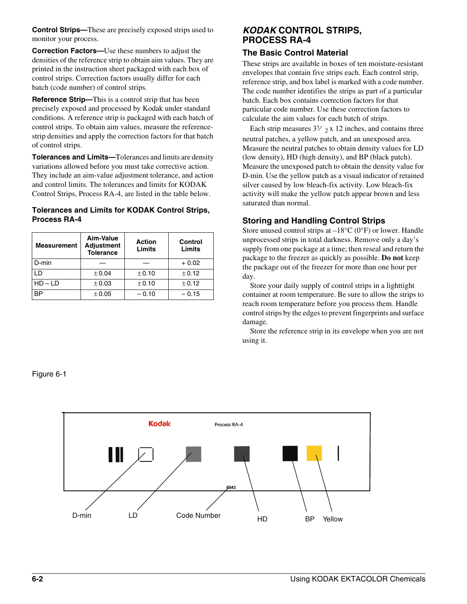**Control Strips—**These are precisely exposed strips used to monitor your process.

**Correction Factors—**Use these numbers to adjust the densities of the reference strip to obtain aim values. They are printed in the instruction sheet packaged with each box of control strips. Correction factors usually differ for each batch (code number) of control strips.

**Reference Strip—**This is a control strip that has been precisely exposed and processed by Kodak under standard conditions. A reference strip is packaged with each batch of control strips. To obtain aim values, measure the referencestrip densities and apply the correction factors for that batch of control strips.

**Tolerances and Limits—**Tolerances and limits are density variations allowed before you must take corrective action. They include an aim-value adjustment tolerance, and action and control limits. The tolerances and limits for KODAK Control Strips, Process RA-4, are listed in the table below.

#### **Tolerances and Limits for KODAK Control Strips, Process RA-4**

| <b>Measurement</b> | Aim-Value<br><b>Adjustment</b><br><b>Tolerance</b> | <b>Action</b><br>Limits | Control<br>Limits |  |
|--------------------|----------------------------------------------------|-------------------------|-------------------|--|
| D-min              |                                                    |                         | $+0.02$           |  |
|                    | ±0.04                                              | ±0.10                   | ±0.12             |  |
| $HD$ – LD          | ±0.03                                              | ±0.10                   | ±0.12             |  |
| ВP                 | ±0.05                                              | $-0.10$                 | $-0.15$           |  |

# *KODAK* **CONTROL STRIPS, PROCESS RA-4**

## **The Basic Control Material**

These strips are available in boxes of ten moisture-resistant envelopes that contain five strips each. Each control strip, reference strip, and box label is marked with a code number. The code number identifies the strips as part of a particular batch. Each box contains correction factors for that particular code number. Use these correction factors to calculate the aim values for each batch of strips.

Each strip measures  $3\frac{1}{2}$  x 12 inches, and contains three neutral patches, a yellow patch, and an unexposed area. Measure the neutral patches to obtain density values for LD (low density), HD (high density), and BP (black patch). Measure the unexposed patch to obtain the density value for D-min. Use the yellow patch as a visual indicator of retained silver caused by low bleach-fix activity. Low bleach-fix activity will make the yellow patch appear brown and less saturated than normal.

# **Storing and Handling Control Strips**

Store unused control strips at  $-18^{\circ}C(0^{\circ}F)$  or lower. Handle unprocessed strips in total darkness. Remove only a day's supply from one package at a time; then reseal and return the package to the freezer as quickly as possible. **Do not** keep the package out of the freezer for more than one hour per day.

Store your daily supply of control strips in a lighttight container at room temperature. Be sure to allow the strips to reach room temperature before you process them. Handle control strips by the edges to prevent fingerprints and surface damage.

Store the reference strip in its envelope when you are not using it.

#### <span id="page-1-0"></span>Figure 6-1

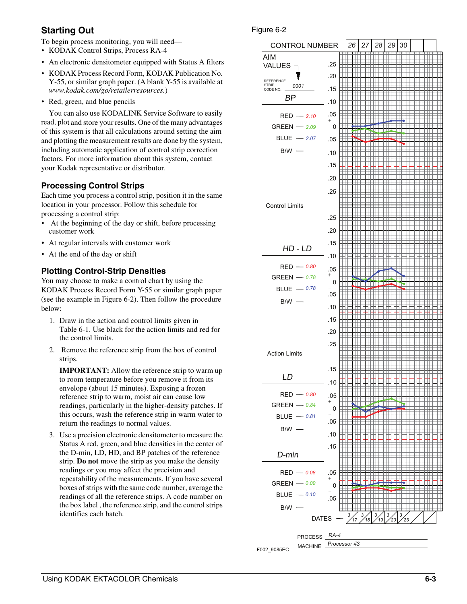# **Starting Out**

To begin process monitoring, you will need—

- KODAK Control Strips, Process RA-4
- An electronic densitometer equipped with Status A filters
- KODAK Process Record Form, KODAK Publication No. Y-55, or similar graph paper. (A blank Y-55 is available at *www.kodak.com/go/retailerresources.*)
- Red, green, and blue pencils

You can also use KODALINK Service Software to easily read, plot and store your results. One of the many advantages of this system is that all calculations around setting the aim and plotting the measurement results are done by the system, including automatic application of control strip correction factors. For more information about this system, contact your Kodak representative or distributor.

# <span id="page-2-1"></span>**Processing Control Strips**

Each time you process a control strip, position it in the same location in your processor. Follow this schedule for processing a control strip:

- At the beginning of the day or shift, before processing customer work
- At regular intervals with customer work
- At the end of the day or shift

# **Plotting Control-Strip Densities**

You may choose to make a control chart by using the KODAK Process Record Form Y-55 or similar graph paper (see the example in Figure [6-2\)](#page-2-0). Then follow the procedure below:

- 1. Draw in the action and control limits given in Table [6-1.](#page-1-0) Use black for the action limits and red for the control limits.
- 2. Remove the reference strip from the box of control strips.

**IMPORTANT:** Allow the reference strip to warm up to room temperature before you remove it from its envelope (about 15 minutes). Exposing a frozen reference strip to warm, moist air can cause low readings, particularly in the higher-density patches. If this occurs, wash the reference strip in warm water to return the readings to normal values.

3. Use a precision electronic densitometer to measure the Status A red, green, and blue densities in the center of the D-min, LD, HD, and BP patches of the reference strip. **Do not** move the strip as you make the density readings or you may affect the precision and repeatability of the measurements. If you have several boxes of strips with the same code number, average the readings of all the reference strips. A code number on the box label , the reference strip, and the control strips identifies each batch.

#### <span id="page-2-0"></span>Figure 6-2

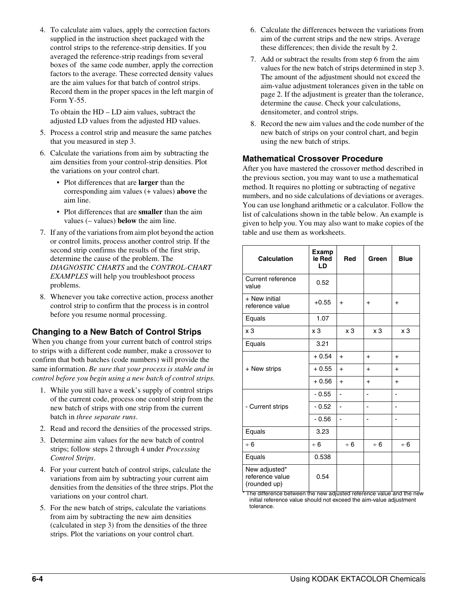4. To calculate aim values, apply the correction factors supplied in the instruction sheet packaged with the control strips to the reference-strip densities. If you averaged the reference-strip readings from several boxes of the same code number, apply the correction factors to the average. These corrected density values are the aim values for that batch of control strips. Record them in the proper spaces in the left margin of Form Y-55.

To obtain the HD – LD aim values, subtract the adjusted LD values from the adjusted HD values.

- 5. Process a control strip and measure the same patches that you measured in step 3.
- 6. Calculate the variations from aim by subtracting the aim densities from your control-strip densities. Plot the variations on your control chart.
	- Plot differences that are **larger** than the corresponding aim values (+ values) **above** the aim line.
	- Plot differences that are **smaller** than the aim values (– values) **below** the aim line.
- 7. If any of the variations from aim plot beyond the action or control limits, process another control strip. If the second strip confirms the results of the first strip, determine the cause of the problem. The *[DIAGNOSTIC CHARTS](#page-6-0)* and the *[CONTROL-CHART](#page-16-0)  [EXAMPLES](#page-16-0)* will help you troubleshoot process problems.
- 8. Whenever you take corrective action, process another control strip to confirm that the process is in control before you resume normal processing.

# <span id="page-3-0"></span>**Changing to a New Batch of Control Strips**

When you change from your current batch of control strips to strips with a different code number, make a crossover to confirm that both batches (code numbers) will provide the same information. *Be sure that your process is stable and in control before you begin using a new batch of control strips.*

- 1. While you still have a week's supply of control strips of the current code, process one control strip from the new batch of strips with one strip from the current batch in *three separate runs*.
- 2. Read and record the densities of the processed strips.
- 3. Determine aim values for the new batch of control strips; follow steps 2 through 4 under *[Processing](#page-2-1)  [Control Strips](#page-2-1)*.
- 4. For your current batch of control strips, calculate the variations from aim by subtracting your current aim densities from the densities of the three strips. Plot the variations on your control chart.
- 5. For the new batch of strips, calculate the variations from aim by subtracting the new aim densities (calculated in step 3) from the densities of the three strips. Plot the variations on your control chart.
- 6. Calculate the differences between the variations from aim of the current strips and the new strips. Average these differences; then divide the result by 2.
- 7. Add or subtract the results from step 6 from the aim values for the new batch of strips determined in step 3. The amount of the adjustment should not exceed the aim-value adjustment tolerances given in the table on page 2. If the adjustment is greater than the tolerance, determine the cause. Check your calculations, densitometer, and control strips.
- 8. Record the new aim values and the code number of the new batch of strips on your control chart, and begin using the new batch of strips.

# **Mathematical Crossover Procedure**

After you have mastered the crossover method described in the previous section, you may want to use a mathematical method. It requires no plotting or subtracting of negative numbers, and no side calculations of deviations or averages. You can use longhand arithmetic or a calculator. Follow the list of calculations shown in the table below. An example is given to help you. You may also want to make copies of the table and use them as worksheets.

| Calculation                                      | <b>Examp</b><br>le Red<br>LD | Red            | Green          | <b>Blue</b>    |
|--------------------------------------------------|------------------------------|----------------|----------------|----------------|
| Current reference<br>value                       | 0.52                         |                |                |                |
| + New initial<br>reference value                 | $+0.55$                      | $+$            | $+$            | $+$            |
| Equals                                           | 1.07                         |                |                |                |
| x3                                               | x 3                          | x <sub>3</sub> | x <sub>3</sub> | x 3            |
| Equals                                           | 3.21                         |                |                |                |
|                                                  | $+0.54$                      | $+$            | $+$            | $\ddot{}$      |
| + New strips                                     | $+0.55$                      | $+$            | $+$            | $+$            |
|                                                  | $+0.56$                      | $+$            | $+$            | $+$            |
|                                                  | $-0.55$                      | L,             | $\overline{a}$ | $\overline{a}$ |
| - Current strips                                 | $-0.52$                      | L,             | $\overline{a}$ |                |
|                                                  | $-0.56$                      | $\blacksquare$ | $\overline{a}$ |                |
| Equals                                           | 3.23                         |                |                |                |
| $\div 6$                                         | $\div 6$                     | $\div 6$       | $\div 6$       | $\div 6$       |
| Equals                                           | 0.538                        |                |                |                |
| New adjusted*<br>reference value<br>(rounded up) | 0.54                         |                |                |                |

\* The difference between the new adjusted reference value and the new initial reference value should not exceed the aim-value adjustment tolerance.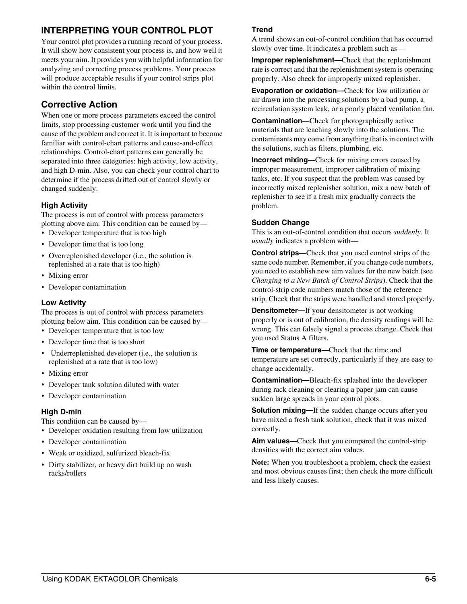# <span id="page-4-0"></span>**INTERPRETING YOUR CONTROL PLOT**

Your control plot provides a running record of your process. It will show how consistent your process is, and how well it meets your aim. It provides you with helpful information for analyzing and correcting process problems. Your process will produce acceptable results if your control strips plot within the control limits.

# **Corrective Action**

When one or more process parameters exceed the control limits, stop processing customer work until you find the cause of the problem and correct it. It is important to become familiar with control-chart patterns and cause-and-effect relationships. Control-chart patterns can generally be separated into three categories: high activity, low activity, and high D-min. Also, you can check your control chart to determine if the process drifted out of control slowly or changed suddenly.

# **High Activity**

The process is out of control with process parameters plotting above aim. This condition can be caused by—

- Developer temperature that is too high
- Developer time that is too long
- Overreplenished developer (i.e., the solution is replenished at a rate that is too high)
- Mixing error
- Developer contamination

## **Low Activity**

The process is out of control with process parameters plotting below aim. This condition can be caused by—

- Developer temperature that is too low
- Developer time that is too short
- Underreplenished developer (i.e., the solution is replenished at a rate that is too low)
- Mixing error
- Developer tank solution diluted with water
- Developer contamination

#### **High D-min**

This condition can be caused by—

- Developer oxidation resulting from low utilization
- Developer contamination
- Weak or oxidized, sulfurized bleach-fix
- Dirty stabilizer, or heavy dirt build up on wash racks/rollers

## **Trend**

A trend shows an out-of-control condition that has occurred slowly over time. It indicates a problem such as—

**Improper replenishment—**Check that the replenishment rate is correct and that the replenishment system is operating properly. Also check for improperly mixed replenisher.

**Evaporation or oxidation—**Check for low utilization or air drawn into the processing solutions by a bad pump, a recirculation system leak, or a poorly placed ventilation fan.

**Contamination—**Check for photographically active materials that are leaching slowly into the solutions. The contaminants may come from anything that is in contact with the solutions, such as filters, plumbing, etc.

**Incorrect mixing—**Check for mixing errors caused by improper measurement, improper calibration of mixing tanks, etc. If you suspect that the problem was caused by incorrectly mixed replenisher solution, mix a new batch of replenisher to see if a fresh mix gradually corrects the problem.

#### **Sudden Change**

This is an out-of-control condition that occurs *suddenly*. It *usually* indicates a problem with—

**Control strips—Check that you used control strips of the** same code number. Remember, if you change code numbers, you need to establish new aim values for the new batch (see *[Changing to a New Batch of Control Strips](#page-3-0)*). Check that the control-strip code numbers match those of the reference strip. Check that the strips were handled and stored properly.

**Densitometer—**If your densitometer is not working properly or is out of calibration, the density readings will be wrong. This can falsely signal a process change. Check that you used Status A filters.

**Time or temperature—**Check that the time and temperature are set correctly, particularly if they are easy to change accidentally.

**Contamination—**Bleach-fix splashed into the developer during rack cleaning or clearing a paper jam can cause sudden large spreads in your control plots.

**Solution mixing—If** the sudden change occurs after you have mixed a fresh tank solution, check that it was mixed correctly.

**Aim values—**Check that you compared the control-strip densities with the correct aim values.

**Note:** When you troubleshoot a problem, check the easiest and most obvious causes first; then check the more difficult and less likely causes.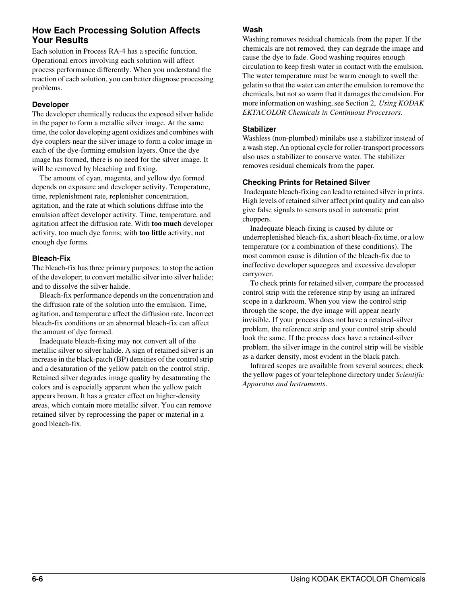# **How Each Processing Solution Affects Your Results**

Each solution in Process RA-4 has a specific function. Operational errors involving each solution will affect process performance differently. When you understand the reaction of each solution, you can better diagnose processing problems.

## **Developer**

The developer chemically reduces the exposed silver halide in the paper to form a metallic silver image. At the same time, the color developing agent oxidizes and combines with dye couplers near the silver image to form a color image in each of the dye-forming emulsion layers. Once the dye image has formed, there is no need for the silver image. It will be removed by bleaching and fixing.

The amount of cyan, magenta, and yellow dye formed depends on exposure and developer activity. Temperature, time, replenishment rate, replenisher concentration, agitation, and the rate at which solutions diffuse into the emulsion affect developer activity. Time, temperature, and agitation affect the diffusion rate. With **too much** developer activity, too much dye forms; with **too little** activity, not enough dye forms.

# **Bleach-Fix**

The bleach-fix has three primary purposes: to stop the action of the developer; to convert metallic silver into silver halide; and to dissolve the silver halide.

Bleach-fix performance depends on the concentration and the diffusion rate of the solution into the emulsion. Time, agitation, and temperature affect the diffusion rate. Incorrect bleach-fix conditions or an abnormal bleach-fix can affect the amount of dye formed.

Inadequate bleach-fixing may not convert all of the metallic silver to silver halide. A sign of retained silver is an increase in the black-patch (BP) densities of the control strip and a desaturation of the yellow patch on the control strip. Retained silver degrades image quality by desaturating the colors and is especially apparent when the yellow patch appears brown. It has a greater effect on higher-density areas, which contain more metallic silver. You can remove retained silver by reprocessing the paper or material in a good bleach-fix.

## **Wash**

Washing removes residual chemicals from the paper. If the chemicals are not removed, they can degrade the image and cause the dye to fade. Good washing requires enough circulation to keep fresh water in contact with the emulsion. The water temperature must be warm enough to swell the gelatin so that the water can enter the emulsion to remove the chemicals, but not so warm that it damages the emulsion. For more information on washing, see Section 2, *Using KODAK EKTACOLOR Chemicals in Continuous Processors*.

## **Stabilizer**

Washless (non-plumbed) minilabs use a stabilizer instead of a wash step. An optional cycle for roller-transport processors also uses a stabilizer to conserve water. The stabilizer removes residual chemicals from the paper.

# **Checking Prints for Retained Silver**

 Inadequate bleach-fixing can lead to retained silver in prints. High levels of retained silver affect print quality and can also give false signals to sensors used in automatic print choppers.

Inadequate bleach-fixing is caused by dilute or underreplenished bleach-fix, a short bleach-fix time, or a low temperature (or a combination of these conditions). The most common cause is dilution of the bleach-fix due to ineffective developer squeegees and excessive developer carryover.

To check prints for retained silver, compare the processed control strip with the reference strip by using an infrared scope in a darkroom. When you view the control strip through the scope, the dye image will appear nearly invisible. If your process does not have a retained-silver problem, the reference strip and your control strip should look the same. If the process does have a retained-silver problem, the silver image in the control strip will be visible as a darker density, most evident in the black patch.

Infrared scopes are available from several sources; check the yellow pages of your telephone directory under *Scientific Apparatus and Instruments*.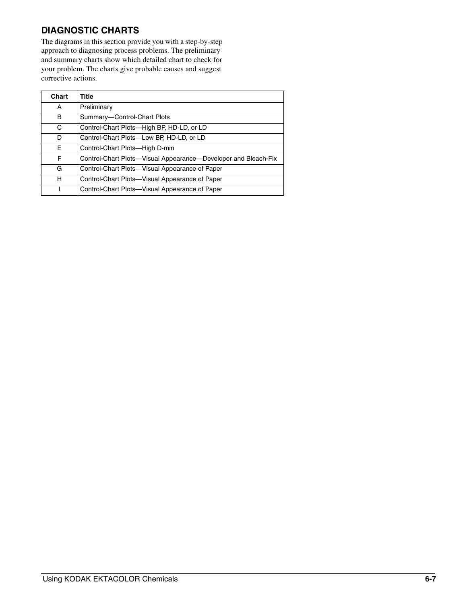# <span id="page-6-0"></span>**DIAGNOSTIC CHARTS**

The diagrams in this section provide you with a step-by-step approach to diagnosing process problems. The preliminary and summary charts show which detailed chart to check for your problem. The charts give probable causes and suggest corrective actions.

| Chart | Title                                                          |
|-------|----------------------------------------------------------------|
| A     | Preliminary                                                    |
| B     | Summary-Control-Chart Plots                                    |
| C.    | Control-Chart Plots-High BP, HD-LD, or LD                      |
| D     | Control-Chart Plots-Low BP, HD-LD, or LD                       |
| Е     | Control-Chart Plots-High D-min                                 |
| F     | Control-Chart Plots-Visual Appearance-Developer and Bleach-Fix |
| G     | Control-Chart Plots-Visual Appearance of Paper                 |
| н     | Control-Chart Plots-Visual Appearance of Paper                 |
|       | Control-Chart Plots-Visual Appearance of Paper                 |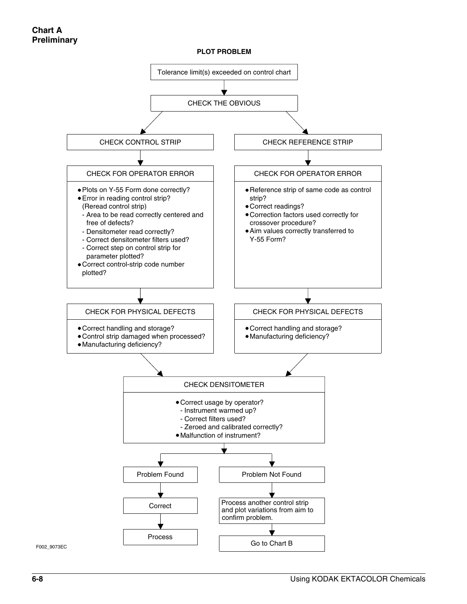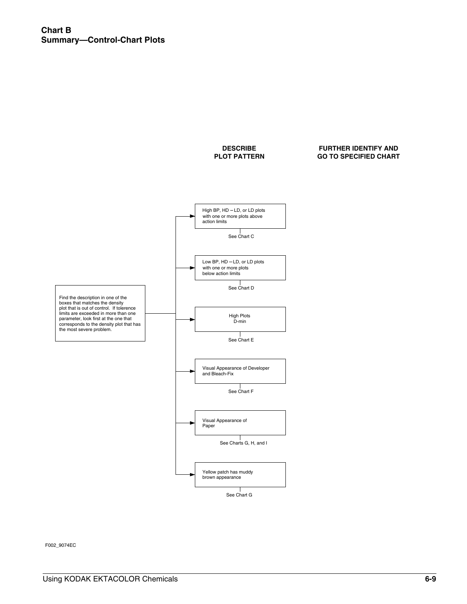

F002\_9074EC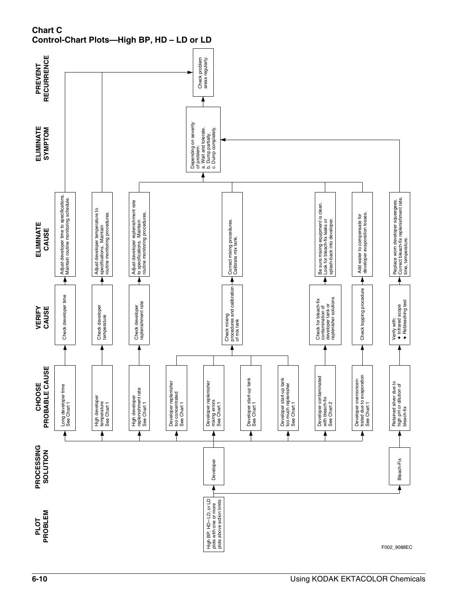**Chart C Control-Chart Plots—High BP, HD – LD or LD**

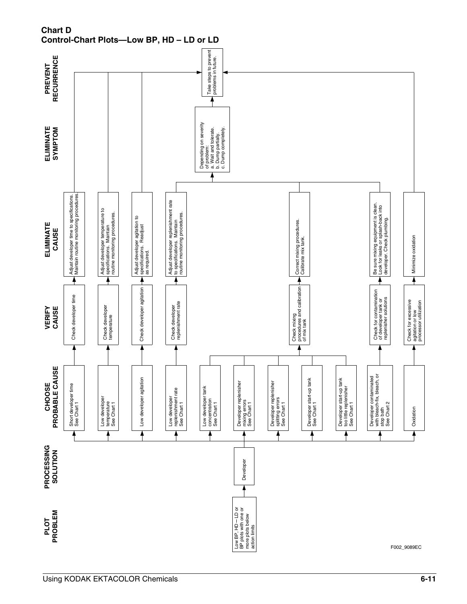**Chart D Control-Chart Plots—Low BP, HD – LD or LD**

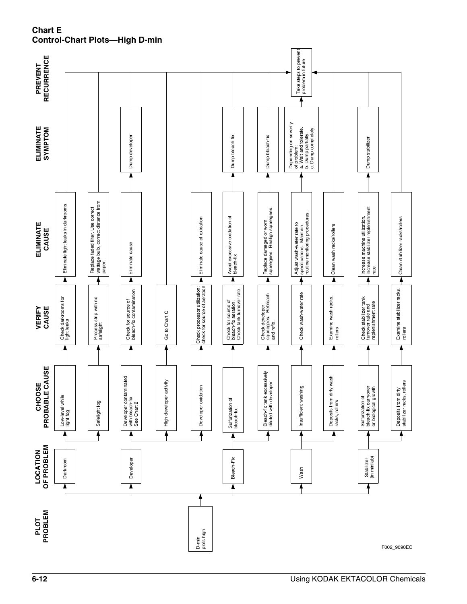# **Chart E Control-Chart Plots—High D-min**

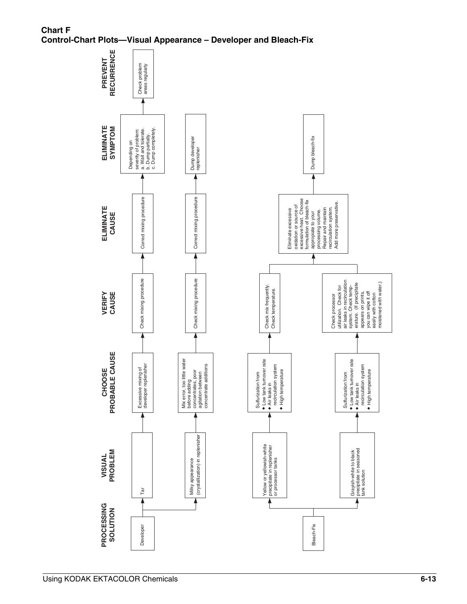# **Chart F Control-Chart Plots—Visual Appearance – Developer and Bleach-Fix**

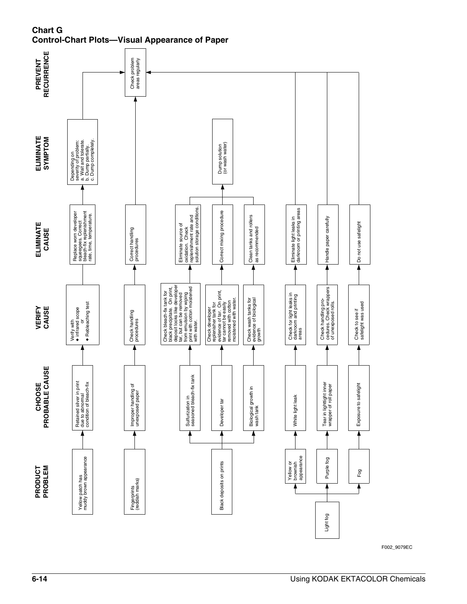**Chart G Control-Chart Plots—Visual Appearance of Paper**



F002\_9079EC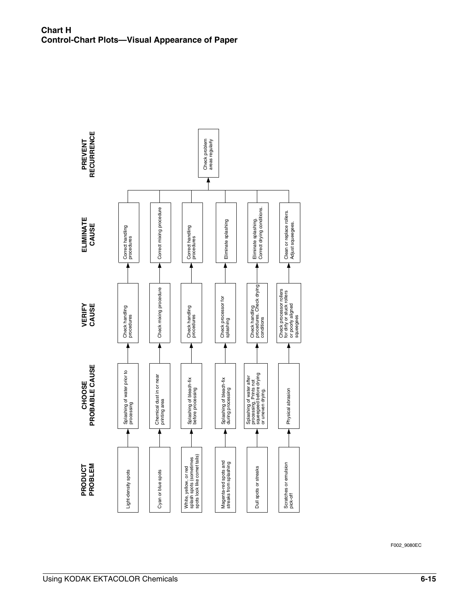

F002\_9080EC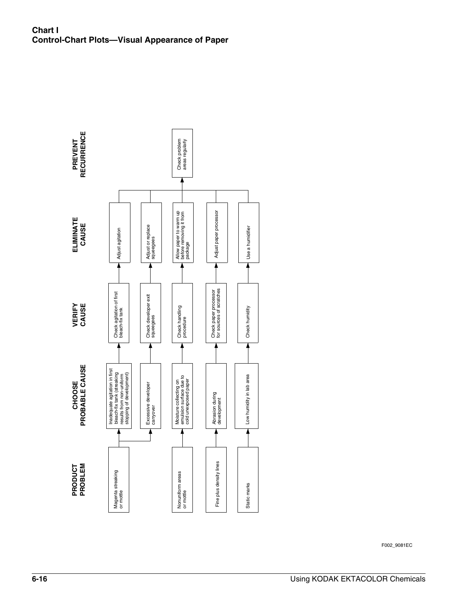

F002\_9081EC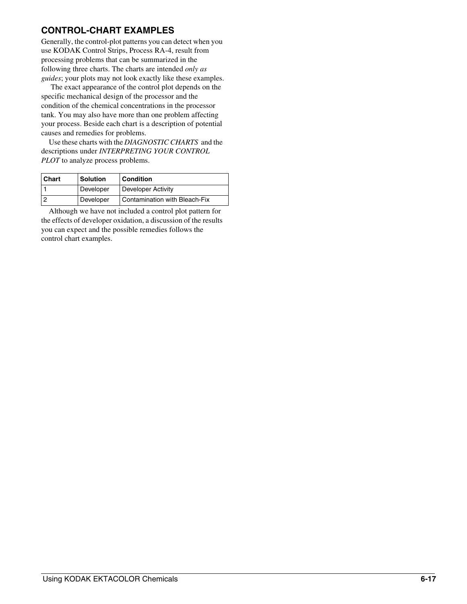# <span id="page-16-0"></span>**CONTROL-CHART EXAMPLES**

Generally, the control-plot patterns you can detect when you use KODAK Control Strips, Process RA-4, result from processing problems that can be summarized in the following three charts. The charts are intended *only as guides*; your plots may not look exactly like these examples.

 The exact appearance of the control plot depends on the specific mechanical design of the processor and the condition of the chemical concentrations in the processor tank. You may also have more than one problem affecting your process. Beside each chart is a description of potential causes and remedies for problems.

Use these charts with the *[DIAGNOSTIC CHARTS](#page-6-0)* and the descriptions under *[INTERPRETING YOUR CONTROL](#page-4-0)  [PLOT](#page-4-0)* to analyze process problems.

| Chart | <b>Solution</b> | <b>Condition</b>              |
|-------|-----------------|-------------------------------|
|       | Developer       | Developer Activity            |
|       | Developer       | Contamination with Bleach-Fix |

Although we have not included a control plot pattern for the effects of developer oxidation, a discussion of the results you can expect and the possible remedies follows the control chart examples.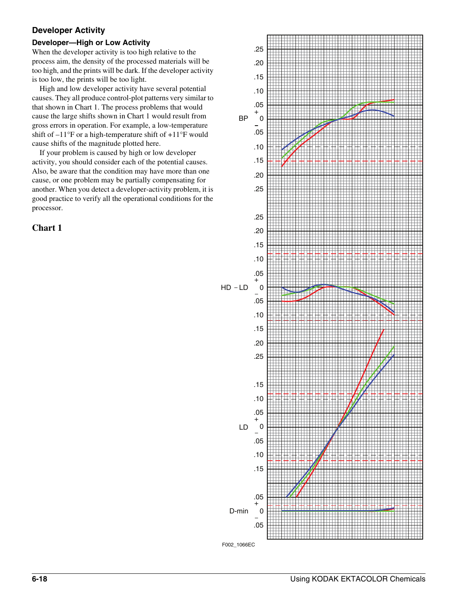## **Developer Activity**

## **Developer—High or Low Activity**

When the developer activity is too high relative to the process aim, the density of the processed materials will be too high, and the prints will be dark. If the developer activity is too low, the prints will be too light.

High and low developer activity have several potential causes. They all produce control-plot patterns very similar to that shown in Chart 1. The process problems that would cause the large shifts shown in Chart 1 would result from gross errors in operation. For example, a low-temperature shift of –11°F or a high-temperature shift of +11°F would cause shifts of the magnitude plotted here.

If your problem is caused by high or low developer activity, you should consider each of the potential causes. Also, be aware that the condition may have more than one cause, or one problem may be partially compensating for another. When you detect a developer-activity problem, it is good practice to verify all the operational conditions for the processor.





F002\_1066EC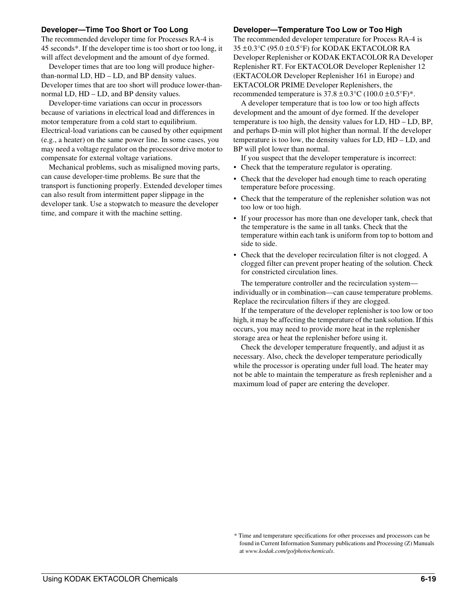#### **Developer—Time Too Short or Too Long**

The recommended developer time for Processes RA-4 is 45 seconds\*. If the developer time is too short or too long, it will affect development and the amount of dye formed.

Developer times that are too long will produce higherthan-normal LD, HD – LD, and BP density values. Developer times that are too short will produce lower-thannormal LD, HD – LD, and BP density values.

Developer-time variations can occur in processors because of variations in electrical load and differences in motor temperature from a cold start to equilibrium. Electrical-load variations can be caused by other equipment (e.g., a heater) on the same power line. In some cases, you may need a voltage regulator on the processor drive motor to compensate for external voltage variations.

Mechanical problems, such as misaligned moving parts, can cause developer-time problems. Be sure that the transport is functioning properly. Extended developer times can also result from intermittent paper slippage in the developer tank. Use a stopwatch to measure the developer time, and compare it with the machine setting.

#### **Developer—Temperature Too Low or Too High**

The recommended developer temperature for Process RA-4 is  $35 \pm 0.3$ °C (95.0  $\pm 0.5$ °F) for KODAK EKTACOLOR RA Developer Replenisher or KODAK EKTACOLOR RA Developer Replenisher RT. For EKTACOLOR Developer Replenisher 12 (EKTACOLOR Developer Replenisher 161 in Europe) and EKTACOLOR PRIME Developer Replenishers, the recommended temperature is  $37.8 \pm 0.3^{\circ}$ C (100.0  $\pm$ 0.5°F)<sup>\*</sup>.

A developer temperature that is too low or too high affects development and the amount of dye formed. If the developer temperature is too high, the density values for LD, HD – LD, BP, and perhaps D-min will plot higher than normal. If the developer temperature is too low, the density values for LD, HD – LD, and BP will plot lower than normal.

If you suspect that the developer temperature is incorrect:

- Check that the temperature regulator is operating.
- Check that the developer had enough time to reach operating temperature before processing.
- Check that the temperature of the replenisher solution was not too low or too high.
- If your processor has more than one developer tank, check that the temperature is the same in all tanks. Check that the temperature within each tank is uniform from top to bottom and side to side.
- Check that the developer recirculation filter is not clogged. A clogged filter can prevent proper heating of the solution. Check for constricted circulation lines.

The temperature controller and the recirculation system individually or in combination—can cause temperature problems. Replace the recirculation filters if they are clogged.

If the temperature of the developer replenisher is too low or too high, it may be affecting the temperature of the tank solution. If this occurs, you may need to provide more heat in the replenisher storage area or heat the replenisher before using it.

Check the developer temperature frequently, and adjust it as necessary. Also, check the developer temperature periodically while the processor is operating under full load. The heater may not be able to maintain the temperature as fresh replenisher and a maximum load of paper are entering the developer.

<sup>\*</sup> Time and temperature specifications for other processes and processors can be found in Current Information Summary publications and Processing (Z) Manuals at *www.kodak.com/go/photochemicals*.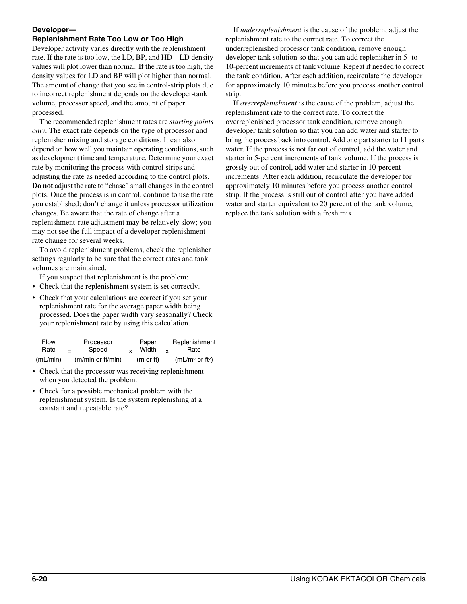## **Developer—**

## **Replenishment Rate Too Low or Too High**

Developer activity varies directly with the replenishment rate. If the rate is too low, the LD, BP, and HD – LD density values will plot lower than normal. If the rate is too high, the density values for LD and BP will plot higher than normal. The amount of change that you see in control-strip plots due to incorrect replenishment depends on the developer-tank volume, processor speed, and the amount of paper processed.

The recommended replenishment rates are *starting points only*. The exact rate depends on the type of processor and replenisher mixing and storage conditions. It can also depend on how well you maintain operating conditions, such as development time and temperature. Determine your exact rate by monitoring the process with control strips and adjusting the rate as needed according to the control plots. **Do not** adjust the rate to "chase" small changes in the control plots. Once the process is in control, continue to use the rate you established; don't change it unless processor utilization changes. Be aware that the rate of change after a replenishment-rate adjustment may be relatively slow; you may not see the full impact of a developer replenishmentrate change for several weeks.

To avoid replenishment problems, check the replenisher settings regularly to be sure that the correct rates and tank volumes are maintained.

If you suspect that replenishment is the problem:

- Check that the replenishment system is set correctly.
- Check that your calculations are correct if you set your replenishment rate for the average paper width being processed. Does the paper width vary seasonally? Check your replenishment rate by using this calculation.

| Flow<br>Rate | $-$ | Processor<br>Speed | Paper<br>Width       | Replenishment<br>Rate                   |
|--------------|-----|--------------------|----------------------|-----------------------------------------|
| (mL/min)     |     | (m/min or ft/min)  | $(m \text{ or } ft)$ | (mL/m <sup>2</sup> or ft <sup>2</sup> ) |

- Check that the processor was receiving replenishment when you detected the problem.
- Check for a possible mechanical problem with the replenishment system. Is the system replenishing at a constant and repeatable rate?

If *underreplenishment* is the cause of the problem, adjust the replenishment rate to the correct rate. To correct the underreplenished processor tank condition, remove enough developer tank solution so that you can add replenisher in 5- to 10-percent increments of tank volume. Repeat if needed to correct the tank condition. After each addition, recirculate the developer for approximately 10 minutes before you process another control strip.

If *overreplenishment* is the cause of the problem, adjust the replenishment rate to the correct rate. To correct the overreplenished processor tank condition, remove enough developer tank solution so that you can add water and starter to bring the process back into control. Add one part starter to 11 parts water. If the process is not far out of control, add the water and starter in 5-percent increments of tank volume. If the process is grossly out of control, add water and starter in 10-percent increments. After each addition, recirculate the developer for approximately 10 minutes before you process another control strip. If the process is still out of control after you have added water and starter equivalent to 20 percent of the tank volume, replace the tank solution with a fresh mix.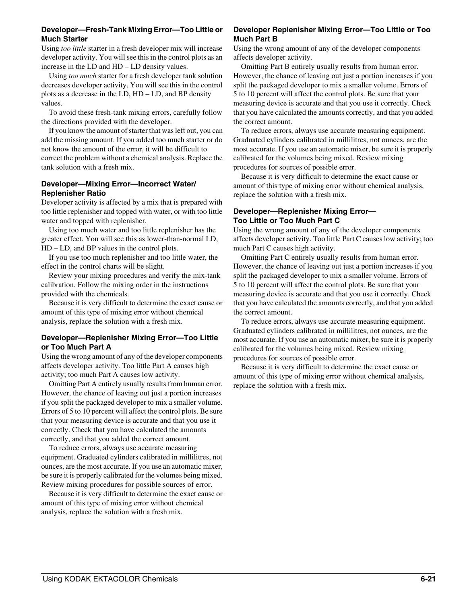#### **Developer—Fresh-Tank Mixing Error—Too Little or Much Starter**

Using *too little* starter in a fresh developer mix will increase developer activity. You will see this in the control plots as an increase in the LD and HD – LD density values.

Using *too much* starter for a fresh developer tank solution decreases developer activity. You will see this in the control plots as a decrease in the LD, HD – LD, and BP density values.

To avoid these fresh-tank mixing errors, carefully follow the directions provided with the developer.

If you know the amount of starter that was left out, you can add the missing amount. If you added too much starter or do not know the amount of the error, it will be difficult to correct the problem without a chemical analysis. Replace the tank solution with a fresh mix.

#### **Developer—Mixing Error—Incorrect Water/ Replenisher Ratio**

Developer activity is affected by a mix that is prepared with too little replenisher and topped with water, or with too little water and topped with replenisher.

Using too much water and too little replenisher has the greater effect. You will see this as lower-than-normal LD, HD – LD, and BP values in the control plots.

If you use too much replenisher and too little water, the effect in the control charts will be slight.

Review your mixing procedures and verify the mix-tank calibration. Follow the mixing order in the instructions provided with the chemicals.

Because it is very difficult to determine the exact cause or amount of this type of mixing error without chemical analysis, replace the solution with a fresh mix.

#### **Developer—Replenisher Mixing Error—Too Little or Too Much Part A**

Using the wrong amount of any of the developer components affects developer activity. Too little Part A causes high activity; too much Part A causes low activity.

Omitting Part A entirely usually results from human error. However, the chance of leaving out just a portion increases if you split the packaged developer to mix a smaller volume. Errors of 5 to 10 percent will affect the control plots. Be sure that your measuring device is accurate and that you use it correctly. Check that you have calculated the amounts correctly, and that you added the correct amount.

To reduce errors, always use accurate measuring equipment. Graduated cylinders calibrated in millilitres, not ounces, are the most accurate. If you use an automatic mixer, be sure it is properly calibrated for the volumes being mixed. Review mixing procedures for possible sources of error.

Because it is very difficult to determine the exact cause or amount of this type of mixing error without chemical analysis, replace the solution with a fresh mix.

#### **Developer Replenisher Mixing Error—Too Little or Too Much Part B**

Using the wrong amount of any of the developer components affects developer activity.

Omitting Part B entirely usually results from human error. However, the chance of leaving out just a portion increases if you split the packaged developer to mix a smaller volume. Errors of 5 to 10 percent will affect the control plots. Be sure that your measuring device is accurate and that you use it correctly. Check that you have calculated the amounts correctly, and that you added the correct amount.

To reduce errors, always use accurate measuring equipment. Graduated cylinders calibrated in millilitres, not ounces, are the most accurate. If you use an automatic mixer, be sure it is properly calibrated for the volumes being mixed. Review mixing procedures for sources of possible error.

Because it is very difficult to determine the exact cause or amount of this type of mixing error without chemical analysis, replace the solution with a fresh mix.

#### **Developer—Replenisher Mixing Error— Too Little or Too Much Part C**

Using the wrong amount of any of the developer components affects developer activity. Too little Part C causes low activity; too much Part C causes high activity.

Omitting Part C entirely usually results from human error. However, the chance of leaving out just a portion increases if you split the packaged developer to mix a smaller volume. Errors of 5 to 10 percent will affect the control plots. Be sure that your measuring device is accurate and that you use it correctly. Check that you have calculated the amounts correctly, and that you added the correct amount.

To reduce errors, always use accurate measuring equipment. Graduated cylinders calibrated in millilitres, not ounces, are the most accurate. If you use an automatic mixer, be sure it is properly calibrated for the volumes being mixed. Review mixing procedures for sources of possible error.

Because it is very difficult to determine the exact cause or amount of this type of mixing error without chemical analysis, replace the solution with a fresh mix.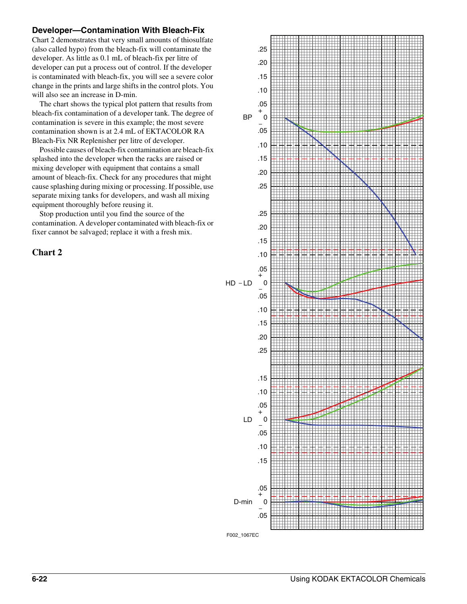## **Developer—Contamination With Bleach-Fix**

Chart 2 demonstrates that very small amounts of thiosulfate (also called hypo) from the bleach-fix will contaminate the developer. As little as 0.1 mL of bleach-fix per litre of developer can put a process out of control. If the developer is contaminated with bleach-fix, you will see a severe color change in the prints and large shifts in the control plots. You will also see an increase in D-min.

The chart shows the typical plot pattern that results from bleach-fix contamination of a developer tank. The degree of contamination is severe in this example; the most severe contamination shown is at 2.4 mL of EKTACOLOR RA Bleach-Fix NR Replenisher per litre of developer.

Possible causes of bleach-fix contamination are bleach-fix splashed into the developer when the racks are raised or mixing developer with equipment that contains a small amount of bleach-fix. Check for any procedures that might cause splashing during mixing or processing. If possible, use separate mixing tanks for developers, and wash all mixing equipment thoroughly before reusing it.

Stop production until you find the source of the contamination. A developer contaminated with bleach-fix or fixer cannot be salvaged; replace it with a fresh mix.